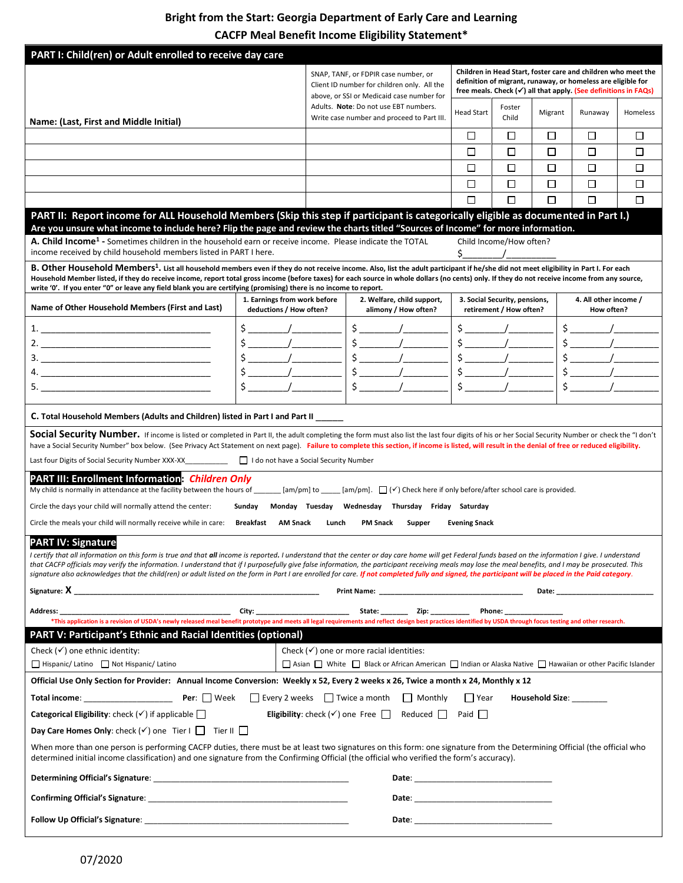# **Bright from the Start: Georgia Department of Early Care and Learning**

**CACFP Meal Benefit Income Eligibility Statement\***

| PART I: Child(ren) or Adult enrolled to receive day care                                                                                                                                                                                                                                                                                                                                                                                                                                                                                                                                                                                               |                                                                                                                                                                                                                                                                                                                     |                                                                                                                                  |                                                                                                            |                                                                                                                                                                                                                                |                                                                                                                                                                                                             |                               |                        |                       |          |
|--------------------------------------------------------------------------------------------------------------------------------------------------------------------------------------------------------------------------------------------------------------------------------------------------------------------------------------------------------------------------------------------------------------------------------------------------------------------------------------------------------------------------------------------------------------------------------------------------------------------------------------------------------|---------------------------------------------------------------------------------------------------------------------------------------------------------------------------------------------------------------------------------------------------------------------------------------------------------------------|----------------------------------------------------------------------------------------------------------------------------------|------------------------------------------------------------------------------------------------------------|--------------------------------------------------------------------------------------------------------------------------------------------------------------------------------------------------------------------------------|-------------------------------------------------------------------------------------------------------------------------------------------------------------------------------------------------------------|-------------------------------|------------------------|-----------------------|----------|
|                                                                                                                                                                                                                                                                                                                                                                                                                                                                                                                                                                                                                                                        |                                                                                                                                                                                                                                                                                                                     | SNAP, TANF, or FDPIR case number, or<br>Client ID number for children only. All the<br>above, or SSI or Medicaid case number for |                                                                                                            |                                                                                                                                                                                                                                | Children in Head Start, foster care and children who meet the<br>definition of migrant, runaway, or homeless are eligible for<br>free meals. Check $(\checkmark)$ all that apply. (See definitions in FAQs) |                               |                        |                       |          |
| Name: (Last, First and Middle Initial)                                                                                                                                                                                                                                                                                                                                                                                                                                                                                                                                                                                                                 |                                                                                                                                                                                                                                                                                                                     |                                                                                                                                  | Adults. Note: Do not use EBT numbers.<br>Write case number and proceed to Part III.                        |                                                                                                                                                                                                                                | <b>Head Start</b>                                                                                                                                                                                           | Foster<br>Child               | Migrant                | Runaway               | Homeless |
|                                                                                                                                                                                                                                                                                                                                                                                                                                                                                                                                                                                                                                                        |                                                                                                                                                                                                                                                                                                                     |                                                                                                                                  |                                                                                                            |                                                                                                                                                                                                                                | □                                                                                                                                                                                                           | □                             | □                      | □                     | □        |
|                                                                                                                                                                                                                                                                                                                                                                                                                                                                                                                                                                                                                                                        |                                                                                                                                                                                                                                                                                                                     |                                                                                                                                  |                                                                                                            |                                                                                                                                                                                                                                | П                                                                                                                                                                                                           | □                             | П                      | □                     | □        |
|                                                                                                                                                                                                                                                                                                                                                                                                                                                                                                                                                                                                                                                        |                                                                                                                                                                                                                                                                                                                     |                                                                                                                                  |                                                                                                            |                                                                                                                                                                                                                                | □                                                                                                                                                                                                           | □                             | □                      | □                     | □        |
|                                                                                                                                                                                                                                                                                                                                                                                                                                                                                                                                                                                                                                                        |                                                                                                                                                                                                                                                                                                                     |                                                                                                                                  |                                                                                                            |                                                                                                                                                                                                                                | П                                                                                                                                                                                                           | □                             | $\Box$                 | $\Box$                | $\Box$   |
|                                                                                                                                                                                                                                                                                                                                                                                                                                                                                                                                                                                                                                                        |                                                                                                                                                                                                                                                                                                                     |                                                                                                                                  |                                                                                                            |                                                                                                                                                                                                                                | П                                                                                                                                                                                                           | □                             | □                      | □                     | П        |
| PART II: Report income for ALL Household Members (Skip this step if participant is categorically eligible as documented in Part I.)                                                                                                                                                                                                                                                                                                                                                                                                                                                                                                                    |                                                                                                                                                                                                                                                                                                                     |                                                                                                                                  |                                                                                                            |                                                                                                                                                                                                                                |                                                                                                                                                                                                             |                               |                        |                       |          |
| Are you unsure what income to include here? Flip the page and review the charts titled "Sources of Income" for more information.                                                                                                                                                                                                                                                                                                                                                                                                                                                                                                                       |                                                                                                                                                                                                                                                                                                                     |                                                                                                                                  |                                                                                                            |                                                                                                                                                                                                                                |                                                                                                                                                                                                             |                               |                        |                       |          |
| A. Child Income <sup>1</sup> - Sometimes children in the household earn or receive income. Please indicate the TOTAL<br>income received by child household members listed in PART I here.                                                                                                                                                                                                                                                                                                                                                                                                                                                              |                                                                                                                                                                                                                                                                                                                     |                                                                                                                                  |                                                                                                            |                                                                                                                                                                                                                                | \$_                                                                                                                                                                                                         | Child Income/How often?       |                        |                       |          |
| B. Other Household Members <sup>1</sup> . List all household members even if they do not receive income. Also, list the adult participant if he/she did not meet eligibility in Part I. For each                                                                                                                                                                                                                                                                                                                                                                                                                                                       |                                                                                                                                                                                                                                                                                                                     |                                                                                                                                  |                                                                                                            |                                                                                                                                                                                                                                |                                                                                                                                                                                                             |                               |                        |                       |          |
| Household Member listed, if they do receive income, report total gross income (before taxes) for each source in whole dollars (no cents) only. If they do not receive income from any source,                                                                                                                                                                                                                                                                                                                                                                                                                                                          |                                                                                                                                                                                                                                                                                                                     |                                                                                                                                  |                                                                                                            |                                                                                                                                                                                                                                |                                                                                                                                                                                                             |                               |                        |                       |          |
| write '0'. If you enter "0" or leave any field blank you are certifying (promising) there is no income to report.                                                                                                                                                                                                                                                                                                                                                                                                                                                                                                                                      | 1. Earnings from work before                                                                                                                                                                                                                                                                                        |                                                                                                                                  |                                                                                                            | 2. Welfare, child support,                                                                                                                                                                                                     |                                                                                                                                                                                                             | 3. Social Security, pensions, |                        | 4. All other income / |          |
| Name of Other Household Members (First and Last)                                                                                                                                                                                                                                                                                                                                                                                                                                                                                                                                                                                                       | deductions / How often?                                                                                                                                                                                                                                                                                             |                                                                                                                                  | alimony / How often?                                                                                       |                                                                                                                                                                                                                                | retirement / How often?                                                                                                                                                                                     |                               |                        | How often?            |          |
| 1.                                                                                                                                                                                                                                                                                                                                                                                                                                                                                                                                                                                                                                                     | $\zeta$ /                                                                                                                                                                                                                                                                                                           |                                                                                                                                  | $\frac{1}{2}$                                                                                              |                                                                                                                                                                                                                                |                                                                                                                                                                                                             |                               |                        | $\zeta$ /             |          |
|                                                                                                                                                                                                                                                                                                                                                                                                                                                                                                                                                                                                                                                        | $\frac{1}{2}$ $\frac{1}{2}$ $\frac{1}{2}$ $\frac{1}{2}$ $\frac{1}{2}$ $\frac{1}{2}$ $\frac{1}{2}$ $\frac{1}{2}$ $\frac{1}{2}$ $\frac{1}{2}$ $\frac{1}{2}$ $\frac{1}{2}$ $\frac{1}{2}$ $\frac{1}{2}$ $\frac{1}{2}$ $\frac{1}{2}$ $\frac{1}{2}$ $\frac{1}{2}$ $\frac{1}{2}$ $\frac{1}{2}$ $\frac{1}{2}$ $\frac{1}{2}$ |                                                                                                                                  | $\frac{1}{2}$                                                                                              |                                                                                                                                                                                                                                |                                                                                                                                                                                                             | $\frac{1}{2}$                 |                        | $\frac{1}{2}$         |          |
|                                                                                                                                                                                                                                                                                                                                                                                                                                                                                                                                                                                                                                                        |                                                                                                                                                                                                                                                                                                                     |                                                                                                                                  | $\frac{1}{2}$                                                                                              |                                                                                                                                                                                                                                |                                                                                                                                                                                                             | $\frac{1}{2}$                 |                        | $\frac{1}{2}$         |          |
|                                                                                                                                                                                                                                                                                                                                                                                                                                                                                                                                                                                                                                                        |                                                                                                                                                                                                                                                                                                                     |                                                                                                                                  | $\frac{1}{2}$                                                                                              |                                                                                                                                                                                                                                |                                                                                                                                                                                                             | $\frac{1}{2}$                 |                        |                       |          |
|                                                                                                                                                                                                                                                                                                                                                                                                                                                                                                                                                                                                                                                        |                                                                                                                                                                                                                                                                                                                     |                                                                                                                                  | $\frac{1}{2}$                                                                                              |                                                                                                                                                                                                                                | $\sharp$                                                                                                                                                                                                    |                               |                        |                       |          |
| C. Total Household Members (Adults and Children) listed in Part I and Part II _____                                                                                                                                                                                                                                                                                                                                                                                                                                                                                                                                                                    |                                                                                                                                                                                                                                                                                                                     |                                                                                                                                  |                                                                                                            |                                                                                                                                                                                                                                |                                                                                                                                                                                                             |                               |                        |                       |          |
|                                                                                                                                                                                                                                                                                                                                                                                                                                                                                                                                                                                                                                                        |                                                                                                                                                                                                                                                                                                                     |                                                                                                                                  |                                                                                                            |                                                                                                                                                                                                                                |                                                                                                                                                                                                             |                               |                        |                       |          |
| Social Security Number. If income is listed or completed in Part II, the adult completing the form must also list the last four digits of his or her Social Security Number or check the "I don't<br>have a Social Security Number" box below. (See Privacy Act Statement on next page). Failure to complete this section, if income is listed, will result in the denial of free or reduced eligibility.                                                                                                                                                                                                                                              |                                                                                                                                                                                                                                                                                                                     |                                                                                                                                  |                                                                                                            |                                                                                                                                                                                                                                |                                                                                                                                                                                                             |                               |                        |                       |          |
|                                                                                                                                                                                                                                                                                                                                                                                                                                                                                                                                                                                                                                                        |                                                                                                                                                                                                                                                                                                                     |                                                                                                                                  |                                                                                                            |                                                                                                                                                                                                                                |                                                                                                                                                                                                             |                               |                        |                       |          |
| <b>PART III: Enrollment Information: Children Only</b><br>My child is normally in attendance at the facility between the hours of ______ [am/pm] to ____ [am/pm]. $\Box$ ( $\checkmark$ ) Check here if only before/after school care is provided.                                                                                                                                                                                                                                                                                                                                                                                                     |                                                                                                                                                                                                                                                                                                                     |                                                                                                                                  |                                                                                                            |                                                                                                                                                                                                                                |                                                                                                                                                                                                             |                               |                        |                       |          |
| Circle the days your child will normally attend the center:                                                                                                                                                                                                                                                                                                                                                                                                                                                                                                                                                                                            | Sunday Monday Tuesday Wednesday Thursday Friday Saturday                                                                                                                                                                                                                                                            |                                                                                                                                  |                                                                                                            |                                                                                                                                                                                                                                |                                                                                                                                                                                                             |                               |                        |                       |          |
| Circle the meals your child will normally receive while in care:                                                                                                                                                                                                                                                                                                                                                                                                                                                                                                                                                                                       | <b>Breakfast</b><br><b>AM Snack</b>                                                                                                                                                                                                                                                                                 | Lunch                                                                                                                            | <b>PM Snack</b>                                                                                            | Supper                                                                                                                                                                                                                         | <b>Evening Snack</b>                                                                                                                                                                                        |                               |                        |                       |          |
| <b>PART IV: Signature</b><br>I certify that all information on this form is true and that all income is reported. I understand that the center or day care home will get Federal funds based on the information I give. I understand<br>that CACFP officials may verify the information. I understand that if I purposefully give false information, the participant receiving meals may lose the meal benefits, and I may be prosecuted. This<br>signature also acknowledges that the child(ren) or adult listed on the form in Part I are enrolled for care. If not completed fully and signed, the participant will be placed in the Paid category. |                                                                                                                                                                                                                                                                                                                     |                                                                                                                                  |                                                                                                            |                                                                                                                                                                                                                                |                                                                                                                                                                                                             |                               |                        |                       |          |
|                                                                                                                                                                                                                                                                                                                                                                                                                                                                                                                                                                                                                                                        |                                                                                                                                                                                                                                                                                                                     |                                                                                                                                  |                                                                                                            |                                                                                                                                                                                                                                |                                                                                                                                                                                                             |                               |                        |                       |          |
| Address:<br>*This application is a revision of USDA's newly released meal benefit prototype and meets all legal requirements and reflect design best practices identified by USDA through focus testing and other research.                                                                                                                                                                                                                                                                                                                                                                                                                            |                                                                                                                                                                                                                                                                                                                     |                                                                                                                                  |                                                                                                            |                                                                                                                                                                                                                                |                                                                                                                                                                                                             |                               |                        |                       |          |
| <b>PART V: Participant's Ethnic and Racial Identities (optional)</b>                                                                                                                                                                                                                                                                                                                                                                                                                                                                                                                                                                                   |                                                                                                                                                                                                                                                                                                                     |                                                                                                                                  |                                                                                                            |                                                                                                                                                                                                                                |                                                                                                                                                                                                             |                               |                        |                       |          |
| Check $(\checkmark)$ one ethnic identity:                                                                                                                                                                                                                                                                                                                                                                                                                                                                                                                                                                                                              |                                                                                                                                                                                                                                                                                                                     |                                                                                                                                  | Check $(\checkmark)$ one or more racial identities:                                                        |                                                                                                                                                                                                                                |                                                                                                                                                                                                             |                               |                        |                       |          |
| □ Hispanic/ Latino □ Not Hispanic/ Latino                                                                                                                                                                                                                                                                                                                                                                                                                                                                                                                                                                                                              |                                                                                                                                                                                                                                                                                                                     |                                                                                                                                  | □ Asian □ White □ Black or African American □ Indian or Alaska Native □ Hawaiian or other Pacific Islander |                                                                                                                                                                                                                                |                                                                                                                                                                                                             |                               |                        |                       |          |
| Official Use Only Section for Provider: Annual Income Conversion: Weekly x 52, Every 2 weeks x 26, Twice a month x 24, Monthly x 12                                                                                                                                                                                                                                                                                                                                                                                                                                                                                                                    |                                                                                                                                                                                                                                                                                                                     |                                                                                                                                  |                                                                                                            |                                                                                                                                                                                                                                |                                                                                                                                                                                                             |                               |                        |                       |          |
|                                                                                                                                                                                                                                                                                                                                                                                                                                                                                                                                                                                                                                                        |                                                                                                                                                                                                                                                                                                                     |                                                                                                                                  |                                                                                                            |                                                                                                                                                                                                                                | Year                                                                                                                                                                                                        |                               | <b>Household Size:</b> |                       |          |
| <b>Categorical Eligibility:</b> check $(\checkmark)$ if applicable $\Box$                                                                                                                                                                                                                                                                                                                                                                                                                                                                                                                                                                              |                                                                                                                                                                                                                                                                                                                     |                                                                                                                                  | <b>Eligibility:</b> check $(\checkmark)$ one Free $\Box$ Reduced $\Box$                                    |                                                                                                                                                                                                                                | Paid                                                                                                                                                                                                        |                               |                        |                       |          |
| Day Care Homes Only: check $(\checkmark)$ one Tier I $\Box$ Tier II $\Box$                                                                                                                                                                                                                                                                                                                                                                                                                                                                                                                                                                             |                                                                                                                                                                                                                                                                                                                     |                                                                                                                                  |                                                                                                            |                                                                                                                                                                                                                                |                                                                                                                                                                                                             |                               |                        |                       |          |
| When more than one person is performing CACFP duties, there must be at least two signatures on this form: one signature from the Determining Official (the official who<br>determined initial income classification) and one signature from the Confirming Official (the official who verified the form's accuracy).                                                                                                                                                                                                                                                                                                                                   |                                                                                                                                                                                                                                                                                                                     |                                                                                                                                  |                                                                                                            |                                                                                                                                                                                                                                |                                                                                                                                                                                                             |                               |                        |                       |          |
|                                                                                                                                                                                                                                                                                                                                                                                                                                                                                                                                                                                                                                                        |                                                                                                                                                                                                                                                                                                                     |                                                                                                                                  |                                                                                                            |                                                                                                                                                                                                                                |                                                                                                                                                                                                             |                               |                        |                       |          |
|                                                                                                                                                                                                                                                                                                                                                                                                                                                                                                                                                                                                                                                        |                                                                                                                                                                                                                                                                                                                     |                                                                                                                                  |                                                                                                            |                                                                                                                                                                                                                                |                                                                                                                                                                                                             |                               |                        |                       |          |
|                                                                                                                                                                                                                                                                                                                                                                                                                                                                                                                                                                                                                                                        |                                                                                                                                                                                                                                                                                                                     |                                                                                                                                  |                                                                                                            | Date: Note: All and the second contract of the second contract of the second contract of the second contract of the second contract of the second contract of the second contract of the second contract of the second contrac |                                                                                                                                                                                                             |                               |                        |                       |          |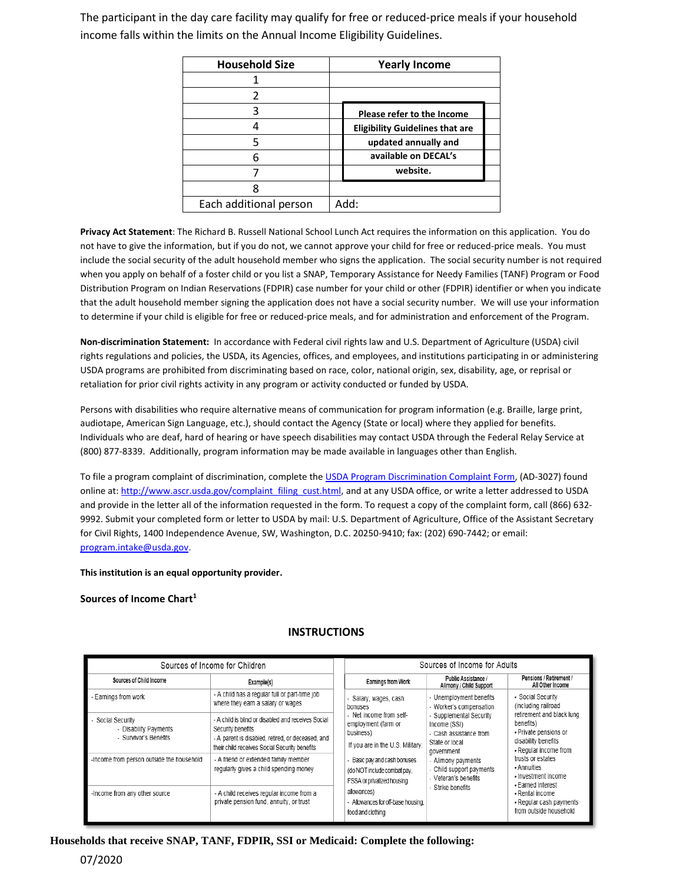The participant in the day care facility may qualify for free or reduced-price meals if your household income falls within the limits on the Annual Income Eligibility Guidelines.

| <b>Household Size</b>  | <b>Yearly Income</b>                   |
|------------------------|----------------------------------------|
|                        |                                        |
| 2                      |                                        |
| 3                      | Please refer to the Income             |
|                        | <b>Eligibility Guidelines that are</b> |
| 5                      | updated annually and                   |
| հ                      | available on DECAL's                   |
|                        | website.                               |
|                        |                                        |
| Each additional person | Add:                                   |

**Privacy Act Statement**: The Richard B. Russell National School Lunch Act requires the information on this application. You do not have to give the information, but if you do not, we cannot approve your child for free or reduced-price meals. You must include the social security of the adult household member who signs the application. The social security number is not required when you apply on behalf of a foster child or you list a SNAP, Temporary Assistance for Needy Families (TANF) Program or Food Distribution Program on Indian Reservations (FDPIR) case number for your child or other (FDPIR) identifier or when you indicate that the adult household member signing the application does not have a social security number. We will use your information to determine if your child is eligible for free or reduced-price meals, and for administration and enforcement of the Program.

**Non-discrimination Statement:** In accordance with Federal civil rights law and U.S. Department of Agriculture (USDA) civil rights regulations and policies, the USDA, its Agencies, offices, and employees, and institutions participating in or administering USDA programs are prohibited from discriminating based on race, color, national origin, sex, disability, age, or reprisal or retaliation for prior civil rights activity in any program or activity conducted or funded by USDA.

Persons with disabilities who require alternative means of communication for program information (e.g. Braille, large print, audiotape, American Sign Language, etc.), should contact the Agency (State or local) where they applied for benefits. Individuals who are deaf, hard of hearing or have speech disabilities may contact USDA through the Federal Relay Service at (800) 877-8339. Additionally, program information may be made available in languages other than English.

To file a program complaint of discrimination, complete the [USDA Program Discrimination Complaint Form,](http://www.ocio.usda.gov/sites/default/files/docs/2012/Complain_combined_6_8_12.pdf) (AD-3027) found online at[: http://www.ascr.usda.gov/complaint\\_filing\\_cust.html,](http://www.ascr.usda.gov/complaint_filing_cust.html) and at any USDA office, or write a letter addressed to USDA and provide in the letter all of the information requested in the form. To request a copy of the complaint form, call (866) 632- 9992. Submit your completed form or letter to USDA by mail: U.S. Department of Agriculture, Office of the Assistant Secretary for Civil Rights, 1400 Independence Avenue, SW, Washington, D.C. 20250-9410; fax: (202) 690-7442; or email: [program.intake@usda.gov.](mailto:program.intake@usda.gov)

**This institution is an equal opportunity provider.**

**Sources of Income Chart<sup>1</sup>**

| Sources of Income for Children                                    |                                                                                                                                                                               |  |                                                                                                 | Sources of Income for Adults                                                                                                                                                                                                      |                                                                                                                                                                                                                                             |
|-------------------------------------------------------------------|-------------------------------------------------------------------------------------------------------------------------------------------------------------------------------|--|-------------------------------------------------------------------------------------------------|-----------------------------------------------------------------------------------------------------------------------------------------------------------------------------------------------------------------------------------|---------------------------------------------------------------------------------------------------------------------------------------------------------------------------------------------------------------------------------------------|
| Sources of Child Income                                           | Example(s)                                                                                                                                                                    |  | <b>Earnings from Work</b>                                                                       | <b>Public Assistance</b><br>Alimony / Child Support                                                                                                                                                                               | Pensions / Retirement /<br>All Other Income                                                                                                                                                                                                 |
| Earnings from work                                                | - A child has a regular full or part-time job<br>where they earn a salary or wages                                                                                            |  | - Salary, wages, cash<br>bonuses                                                                | - Unemployment benefits<br>- Worker's compensation<br>- Supplemental Security<br>Income (SSI)<br>- Cash assistance from<br>State or local<br>government<br>- Alimony payments<br>- Child support payments<br>- Veteran's benefits | - Social Security<br>(including railroad<br>retirement and black lung<br>benefits)<br>- Private pensions or<br>disability benefits<br>- Regular income from<br>trusts or estates<br>- Annuities<br>- Investment income<br>- Earned interest |
| Social Security<br>- Disability Payments<br>- Survivor's Benefits | - A child is blind or disabled and receives Social<br>Security benefits<br>- A parent is disabled, retired, or deceased, and<br>their child receives Social Security benefits |  | - Net income from self-<br>employment (farm or<br>business)<br>If you are in the U.S. Military: |                                                                                                                                                                                                                                   |                                                                                                                                                                                                                                             |
| -Income from person outside the household                         | - A friend or extended family member<br>regularly gives a child spending money                                                                                                |  | - Basic pay and cash bonuses<br>(do NOT include combat pay,<br>FSSA or privatized housing       |                                                                                                                                                                                                                                   |                                                                                                                                                                                                                                             |
| -Income from any other source                                     | - A child receives regular income from a<br>private pension fund, annuity, or trust                                                                                           |  | allowances)<br>- Allowances for off-base housing,<br>food and clothing                          | - Strike benefits                                                                                                                                                                                                                 | - Rental income<br>- Regular cash payments<br>from outside household                                                                                                                                                                        |

### **INSTRUCTIONS**

### **Households that receive SNAP, TANF, FDPIR, SSI or Medicaid: Complete the following:**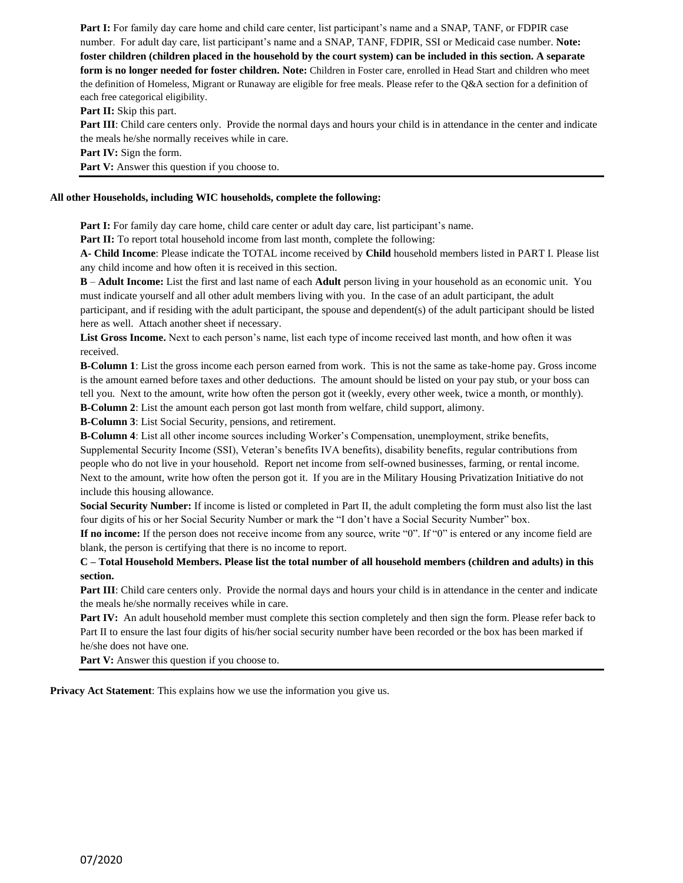**Part I:** For family day care home and child care center, list participant's name and a SNAP, TANF, or FDPIR case number. For adult day care, list participant's name and a SNAP, TANF, FDPIR, SSI or Medicaid case number. **Note: foster children (children placed in the household by the court system) can be included in this section. A separate form is no longer needed for foster children. Note:** Children in Foster care, enrolled in Head Start and children who meet the definition of Homeless, Migrant or Runaway are eligible for free meals. Please refer to the Q&A section for a definition of each free categorical eligibility.

**Part II:** Skip this part.

**Part III**: Child care centers only. Provide the normal days and hours your child is in attendance in the center and indicate the meals he/she normally receives while in care.

**Part IV:** Sign the form.

Part V: Answer this question if you choose to.

#### **All other Households, including WIC households, complete the following:**

**Part I:** For family day care home, child care center or adult day care, list participant's name.

Part II: To report total household income from last month, complete the following:

**A- Child Income**: Please indicate the TOTAL income received by **Child** household members listed in PART I. Please list any child income and how often it is received in this section.

**B** – **Adult Income:** List the first and last name of each **Adult** person living in your household as an economic unit. You must indicate yourself and all other adult members living with you. In the case of an adult participant, the adult participant, and if residing with the adult participant, the spouse and dependent(s) of the adult participant should be listed here as well. Attach another sheet if necessary.

**List Gross Income.** Next to each person's name, list each type of income received last month, and how often it was received.

**B-Column 1**: List the gross income each person earned from work. This is not the same as take-home pay. Gross income is the amount earned before taxes and other deductions. The amount should be listed on your pay stub, or your boss can tell you. Next to the amount, write how often the person got it (weekly, every other week, twice a month, or monthly).

**B-Column 2**: List the amount each person got last month from welfare, child support, alimony.

**B-Column 3**: List Social Security, pensions, and retirement.

**B-Column 4**: List all other income sources including Worker's Compensation, unemployment, strike benefits,

Supplemental Security Income (SSI), Veteran's benefits IVA benefits), disability benefits, regular contributions from people who do not live in your household. Report net income from self-owned businesses, farming, or rental income. Next to the amount, write how often the person got it. If you are in the Military Housing Privatization Initiative do not include this housing allowance.

**Social Security Number:** If income is listed or completed in Part II, the adult completing the form must also list the last four digits of his or her Social Security Number or mark the "I don't have a Social Security Number" box.

**If no income:** If the person does not receive income from any source, write "0". If "0" is entered or any income field are blank, the person is certifying that there is no income to report.

**C – Total Household Members. Please list the total number of all household members (children and adults) in this section.**

**Part III**: Child care centers only. Provide the normal days and hours your child is in attendance in the center and indicate the meals he/she normally receives while in care.

**Part IV:** An adult household member must complete this section completely and then sign the form. Please refer back to Part II to ensure the last four digits of his/her social security number have been recorded or the box has been marked if he/she does not have one.

Part V: Answer this question if you choose to.

**Privacy Act Statement**: This explains how we use the information you give us.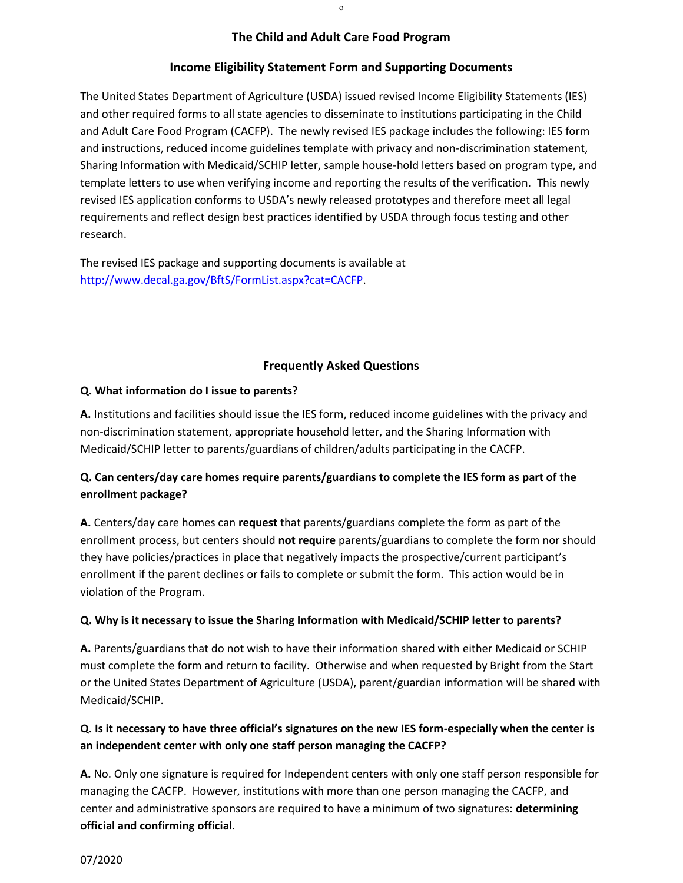### **The Child and Adult Care Food Program**

### **Income Eligibility Statement Form and Supporting Documents**

The United States Department of Agriculture (USDA) issued revised Income Eligibility Statements (IES) and other required forms to all state agencies to disseminate to institutions participating in the Child and Adult Care Food Program (CACFP). The newly revised IES package includes the following: IES form and instructions, reduced income guidelines template with privacy and non-discrimination statement, Sharing Information with Medicaid/SCHIP letter, sample house-hold letters based on program type, and template letters to use when verifying income and reporting the results of the verification. This newly revised IES application conforms to USDA's newly released prototypes and therefore meet all legal requirements and reflect design best practices identified by USDA through focus testing and other research.

The revised IES package and supporting documents is available at [http://www.decal.ga.gov/BftS/FormList.aspx?cat=CACFP.](http://www.decal.ga.gov/BftS/FormList.aspx?cat=CACFP)

### **Frequently Asked Questions**

### **Q. What information do I issue to parents?**

**A.** Institutions and facilities should issue the IES form, reduced income guidelines with the privacy and non-discrimination statement, appropriate household letter, and the Sharing Information with Medicaid/SCHIP letter to parents/guardians of children/adults participating in the CACFP.

# **Q. Can centers/day care homes require parents/guardians to complete the IES form as part of the enrollment package?**

**A.** Centers/day care homes can **request** that parents/guardians complete the form as part of the enrollment process, but centers should **not require** parents/guardians to complete the form nor should they have policies/practices in place that negatively impacts the prospective/current participant's enrollment if the parent declines or fails to complete or submit the form. This action would be in violation of the Program.

## **Q. Why is it necessary to issue the Sharing Information with Medicaid/SCHIP letter to parents?**

**A.** Parents/guardians that do not wish to have their information shared with either Medicaid or SCHIP must complete the form and return to facility. Otherwise and when requested by Bright from the Start or the United States Department of Agriculture (USDA), parent/guardian information will be shared with Medicaid/SCHIP.

# **Q. Is it necessary to have three official's signatures on the new IES form-especially when the center is an independent center with only one staff person managing the CACFP?**

**A.** No. Only one signature is required for Independent centers with only one staff person responsible for managing the CACFP. However, institutions with more than one person managing the CACFP, and center and administrative sponsors are required to have a minimum of two signatures: **determining official and confirming official**.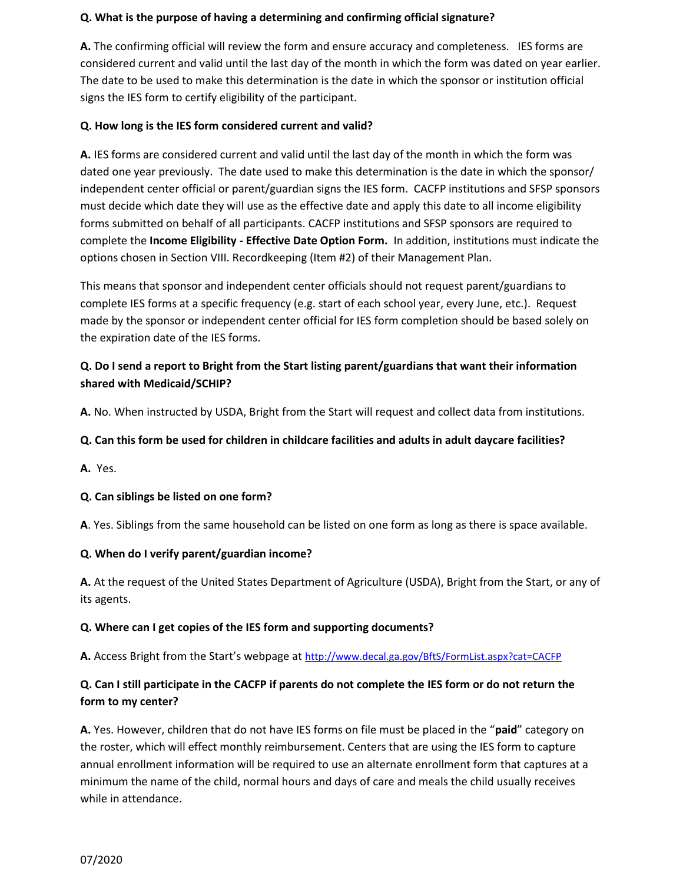## **Q. What is the purpose of having a determining and confirming official signature?**

**A.** The confirming official will review the form and ensure accuracy and completeness. IES forms are considered current and valid until the last day of the month in which the form was dated on year earlier. The date to be used to make this determination is the date in which the sponsor or institution official signs the IES form to certify eligibility of the participant.

## **Q. How long is the IES form considered current and valid?**

**A.** IES forms are considered current and valid until the last day of the month in which the form was dated one year previously. The date used to make this determination is the date in which the sponsor/ independent center official or parent/guardian signs the IES form. CACFP institutions and SFSP sponsors must decide which date they will use as the effective date and apply this date to all income eligibility forms submitted on behalf of all participants. CACFP institutions and SFSP sponsors are required to complete the **Income Eligibility - Effective Date Option Form.** In addition, institutions must indicate the options chosen in Section VIII. Recordkeeping (Item #2) of their Management Plan.

This means that sponsor and independent center officials should not request parent/guardians to complete IES forms at a specific frequency (e.g. start of each school year, every June, etc.). Request made by the sponsor or independent center official for IES form completion should be based solely on the expiration date of the IES forms.

## **Q. Do I send a report to Bright from the Start listing parent/guardians that want their information shared with Medicaid/SCHIP?**

**A.** No. When instructed by USDA, Bright from the Start will request and collect data from institutions.

## **Q. Can this form be used for children in childcare facilities and adults in adult daycare facilities?**

**A.** Yes.

## **Q. Can siblings be listed on one form?**

**A**. Yes. Siblings from the same household can be listed on one form as long as there is space available.

## **Q. When do I verify parent/guardian income?**

**A.** At the request of the United States Department of Agriculture (USDA), Bright from the Start, or any of its agents.

## **Q. Where can I get copies of the IES form and supporting documents?**

**A.** Access Bright from the Start's webpage at <http://www.decal.ga.gov/BftS/FormList.aspx?cat=CACFP>

# **Q. Can I still participate in the CACFP if parents do not complete the IES form or do not return the form to my center?**

**A.** Yes. However, children that do not have IES forms on file must be placed in the "**paid**" category on the roster, which will effect monthly reimbursement. Centers that are using the IES form to capture annual enrollment information will be required to use an alternate enrollment form that captures at a minimum the name of the child, normal hours and days of care and meals the child usually receives while in attendance.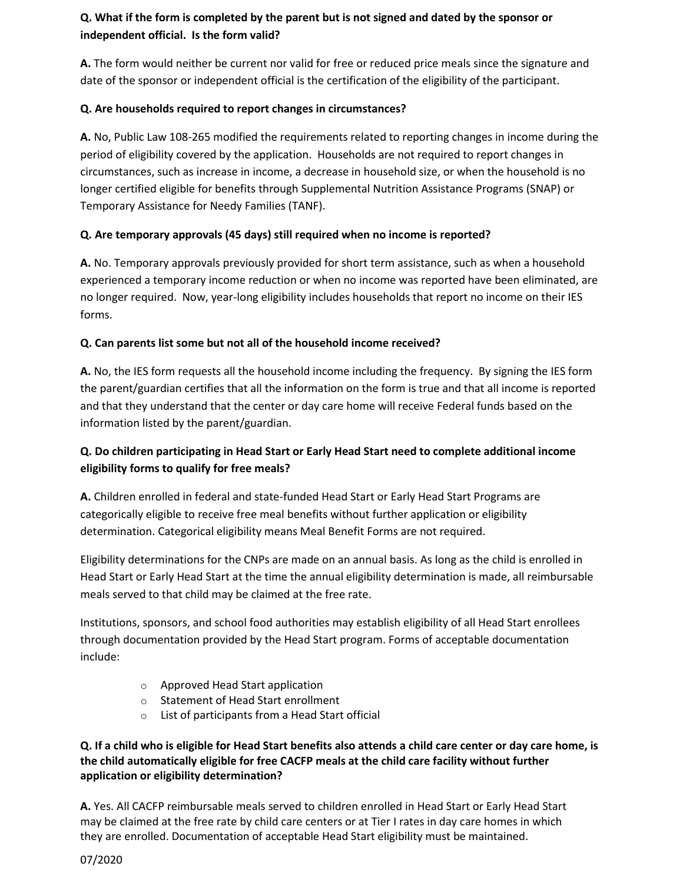# **Q. What if the form is completed by the parent but is not signed and dated by the sponsor or independent official. Is the form valid?**

**A.** The form would neither be current nor valid for free or reduced price meals since the signature and date of the sponsor or independent official is the certification of the eligibility of the participant.

## **Q. Are households required to report changes in circumstances?**

**A.** No, Public Law 108-265 modified the requirements related to reporting changes in income during the period of eligibility covered by the application. Households are not required to report changes in circumstances, such as increase in income, a decrease in household size, or when the household is no longer certified eligible for benefits through Supplemental Nutrition Assistance Programs (SNAP) or Temporary Assistance for Needy Families (TANF).

# **Q. Are temporary approvals (45 days) still required when no income is reported?**

**A.** No. Temporary approvals previously provided for short term assistance, such as when a household experienced a temporary income reduction or when no income was reported have been eliminated, are no longer required. Now, year-long eligibility includes households that report no income on their IES forms.

# **Q. Can parents list some but not all of the household income received?**

**A.** No, the IES form requests all the household income including the frequency. By signing the IES form the parent/guardian certifies that all the information on the form is true and that all income is reported and that they understand that the center or day care home will receive Federal funds based on the information listed by the parent/guardian.

# **Q. Do children participating in Head Start or Early Head Start need to complete additional income eligibility forms to qualify for free meals?**

**A.** Children enrolled in federal and state-funded Head Start or Early Head Start Programs are categorically eligible to receive free meal benefits without further application or eligibility determination. Categorical eligibility means Meal Benefit Forms are not required.

Eligibility determinations for the CNPs are made on an annual basis. As long as the child is enrolled in Head Start or Early Head Start at the time the annual eligibility determination is made, all reimbursable meals served to that child may be claimed at the free rate.

Institutions, sponsors, and school food authorities may establish eligibility of all Head Start enrollees through documentation provided by the Head Start program. Forms of acceptable documentation include:

- o Approved Head Start application
- o Statement of Head Start enrollment
- o List of participants from a Head Start official

## **Q. If a child who is eligible for Head Start benefits also attends a child care center or day care home, is the child automatically eligible for free CACFP meals at the child care facility without further application or eligibility determination?**

**A.** Yes. All CACFP reimbursable meals served to children enrolled in Head Start or Early Head Start may be claimed at the free rate by child care centers or at Tier I rates in day care homes in which they are enrolled. Documentation of acceptable Head Start eligibility must be maintained.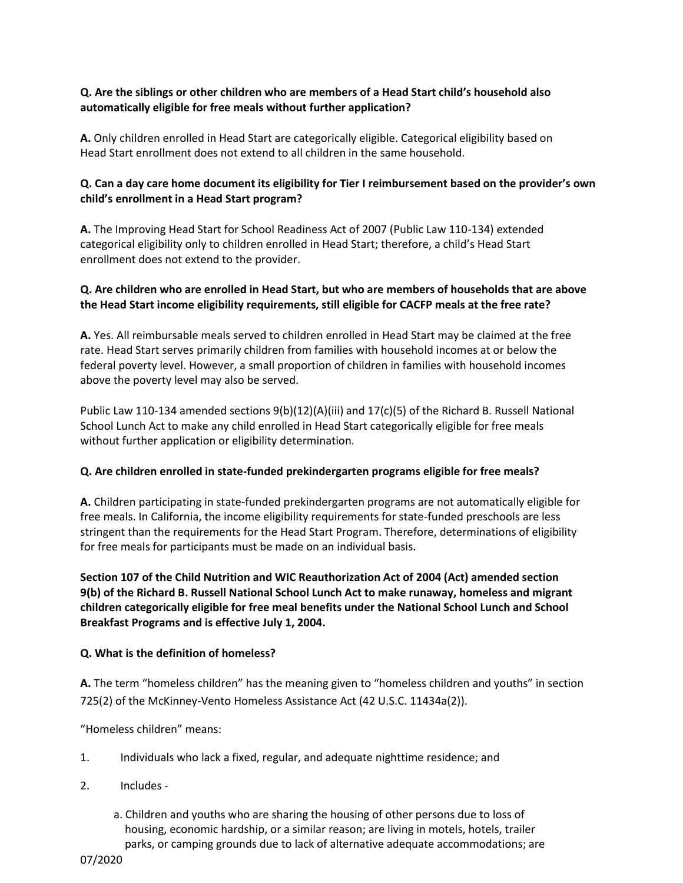## **Q. Are the siblings or other children who are members of a Head Start child's household also automatically eligible for free meals without further application?**

**A.** Only children enrolled in Head Start are categorically eligible. Categorical eligibility based on Head Start enrollment does not extend to all children in the same household.

## **Q. Can a day care home document its eligibility for Tier I reimbursement based on the provider's own child's enrollment in a Head Start program?**

**A.** The Improving Head Start for School Readiness Act of 2007 (Public Law 110-134) extended categorical eligibility only to children enrolled in Head Start; therefore, a child's Head Start enrollment does not extend to the provider.

## **Q. Are children who are enrolled in Head Start, but who are members of households that are above the Head Start income eligibility requirements, still eligible for CACFP meals at the free rate?**

**A.** Yes. All reimbursable meals served to children enrolled in Head Start may be claimed at the free rate. Head Start serves primarily children from families with household incomes at or below the federal poverty level. However, a small proportion of children in families with household incomes above the poverty level may also be served.

Public Law 110-134 amended sections 9(b)(12)(A)(iii) and 17(c)(5) of the Richard B. Russell National School Lunch Act to make any child enrolled in Head Start categorically eligible for free meals without further application or eligibility determination.

## **Q. Are children enrolled in state-funded prekindergarten programs eligible for free meals?**

**A.** Children participating in state-funded prekindergarten programs are not automatically eligible for free meals. In California, the income eligibility requirements for state-funded preschools are less stringent than the requirements for the Head Start Program. Therefore, determinations of eligibility for free meals for participants must be made on an individual basis.

**Section 107 of the Child Nutrition and WIC Reauthorization Act of 2004 (Act) amended section 9(b) of the Richard B. Russell National School Lunch Act to make runaway, homeless and migrant children categorically eligible for free meal benefits under the National School Lunch and School Breakfast Programs and is effective July 1, 2004.**

## **Q. What is the definition of homeless?**

**A.** The term "homeless children" has the meaning given to "homeless children and youths" in section 725(2) of the McKinney-Vento Homeless Assistance Act (42 U.S.C. 11434a(2)).

"Homeless children" means:

- 1. Individuals who lack a fixed, regular, and adequate nighttime residence; and
- 2. Includes
	- a. Children and youths who are sharing the housing of other persons due to loss of housing, economic hardship, or a similar reason; are living in motels, hotels, trailer parks, or camping grounds due to lack of alternative adequate accommodations; are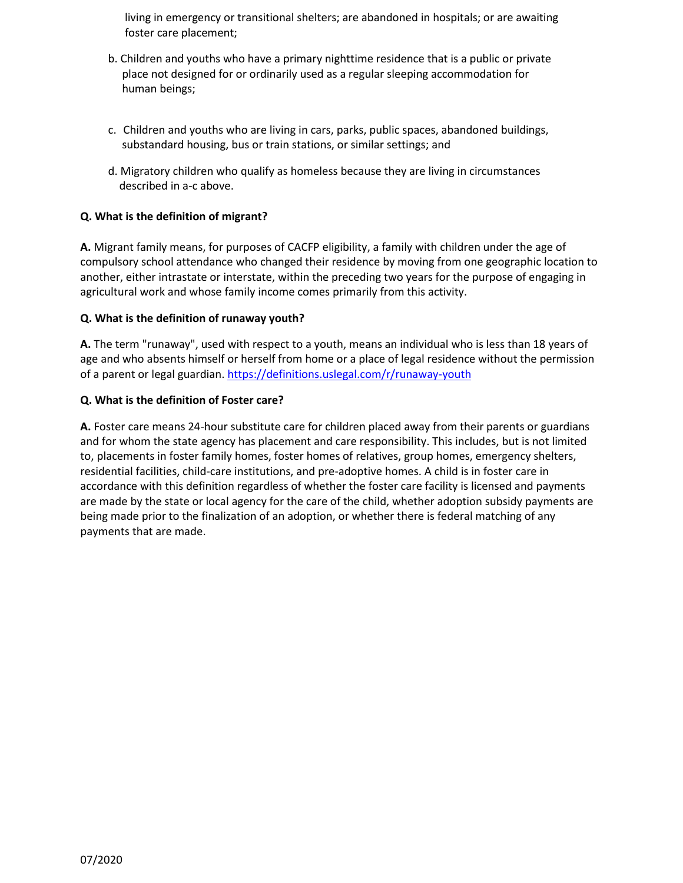living in emergency or transitional shelters; are abandoned in hospitals; or are awaiting foster care placement;

- b. Children and youths who have a primary nighttime residence that is a public or private place not designed for or ordinarily used as a regular sleeping accommodation for human beings;
- c. Children and youths who are living in cars, parks, public spaces, abandoned buildings, substandard housing, bus or train stations, or similar settings; and
- d. Migratory children who qualify as homeless because they are living in circumstances described in a-c above.

## **Q. What is the definition of migrant?**

**A.** Migrant family means, for purposes of CACFP eligibility, a family with children under the age of compulsory school attendance who changed their residence by moving from one geographic location to another, either intrastate or interstate, within the preceding two years for the purpose of engaging in agricultural work and whose family income comes primarily from this activity.

## **Q. What is the definition of runaway youth?**

**A.** The term "runaway", used with respect to a youth, means an individual who is less than 18 years of age and who absents himself or herself from home or a place of legal residence without the permission of a parent or legal guardian. [https://definitions.uslegal.com/r/runaway-youth](https://definitions.uslegal.com/r/runaway-youth.)

## **Q. What is the definition of Foster care?**

**A.** Foster care means 24-hour substitute care for children placed away from their parents or guardians and for whom the state agency has placement and care responsibility. This includes, but is not limited to, placements in foster family homes, foster homes of relatives, group homes, emergency shelters, residential facilities, child-care institutions, and pre-adoptive homes. A child is in foster care in accordance with this definition regardless of whether the foster care facility is licensed and payments are made by the state or local agency for the care of the child, whether adoption subsidy payments are being made prior to the finalization of an adoption, or whether there is federal matching of any payments that are made.